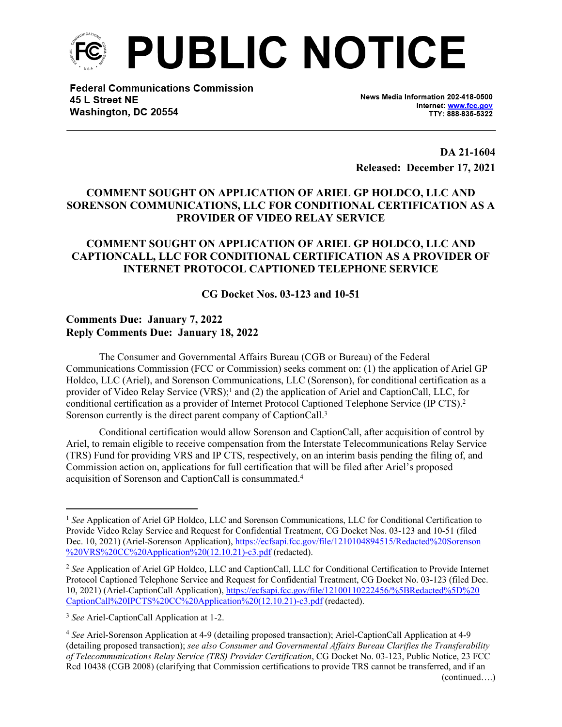

**Federal Communications Commission** 45 L Street NE Washington, DC 20554

News Media Information 202-418-0500 Internet: www.fcc.gov TTY: 888-835-5322

**DA 21-1604 Released: December 17, 2021**

## **COMMENT SOUGHT ON APPLICATION OF ARIEL GP HOLDCO, LLC AND SORENSON COMMUNICATIONS, LLC FOR CONDITIONAL CERTIFICATION AS A PROVIDER OF VIDEO RELAY SERVICE**

## **COMMENT SOUGHT ON APPLICATION OF ARIEL GP HOLDCO, LLC AND CAPTIONCALL, LLC FOR CONDITIONAL CERTIFICATION AS A PROVIDER OF INTERNET PROTOCOL CAPTIONED TELEPHONE SERVICE**

**CG Docket Nos. 03-123 and 10-51**

## **Comments Due: January 7, 2022 Reply Comments Due: January 18, 2022**

The Consumer and Governmental Affairs Bureau (CGB or Bureau) of the Federal Communications Commission (FCC or Commission) seeks comment on: (1) the application of Ariel GP Holdco, LLC (Ariel), and Sorenson Communications, LLC (Sorenson), for conditional certification as a provider of Video Relay Service (VRS);<sup>1</sup> and (2) the application of Ariel and CaptionCall, LLC, for conditional certification as a provider of Internet Protocol Captioned Telephone Service (IP CTS).<sup>2</sup> Sorenson currently is the direct parent company of CaptionCall.<sup>3</sup>

Conditional certification would allow Sorenson and CaptionCall, after acquisition of control by Ariel, to remain eligible to receive compensation from the Interstate Telecommunications Relay Service (TRS) Fund for providing VRS and IP CTS, respectively, on an interim basis pending the filing of, and Commission action on, applications for full certification that will be filed after Ariel's proposed acquisition of Sorenson and CaptionCall is consummated.<sup>4</sup>

<sup>1</sup> *See* Application of Ariel GP Holdco, LLC and Sorenson Communications, LLC for Conditional Certification to Provide Video Relay Service and Request for Confidential Treatment, CG Docket Nos. 03-123 and 10-51 (filed Dec. 10, 2021) (Ariel-Sorenson Application), [https://ecfsapi.fcc.gov/file/1210104894515/Redacted%20Sorenson](https://ecfsapi.fcc.gov/file/1210104894515/Redacted%20Sorenson%20VRS%20CC%20Application%20(12.10.21)-c3.pdf) [%20VRS%20CC%20Application%20\(12.10.21\)-c3.pdf](https://ecfsapi.fcc.gov/file/1210104894515/Redacted%20Sorenson%20VRS%20CC%20Application%20(12.10.21)-c3.pdf) (redacted).

<sup>2</sup> *See* Application of Ariel GP Holdco, LLC and CaptionCall, LLC for Conditional Certification to Provide Internet Protocol Captioned Telephone Service and Request for Confidential Treatment, CG Docket No. 03-123 (filed Dec. 10, 2021) (Ariel-CaptionCall Application), [https://ecfsapi.fcc.gov/file/12100110222456/%5BRedacted%5D%20](https://ecfsapi.fcc.gov/file/12100110222456/%5BRedacted%5D%20CaptionCall%20IPCTS%20CC%20Application%20(12.10.21)-c3.pdf) [CaptionCall%20IPCTS%20CC%20Application%20\(12.10.21\)-c3.pdf](https://ecfsapi.fcc.gov/file/12100110222456/%5BRedacted%5D%20CaptionCall%20IPCTS%20CC%20Application%20(12.10.21)-c3.pdf) (redacted).

<sup>3</sup> *See* Ariel-CaptionCall Application at 1-2.

<sup>4</sup> *See* Ariel-Sorenson Application at 4-9 (detailing proposed transaction); Ariel-CaptionCall Application at 4-9 (detailing proposed transaction); *see also Consumer and Governmental Affairs Bureau Clarifies the Transferability of Telecommunications Relay Service (TRS) Provider Certification*, CG Docket No. 03-123, Public Notice, 23 FCC Rcd 10438 (CGB 2008) (clarifying that Commission certifications to provide TRS cannot be transferred, and if an (continued….)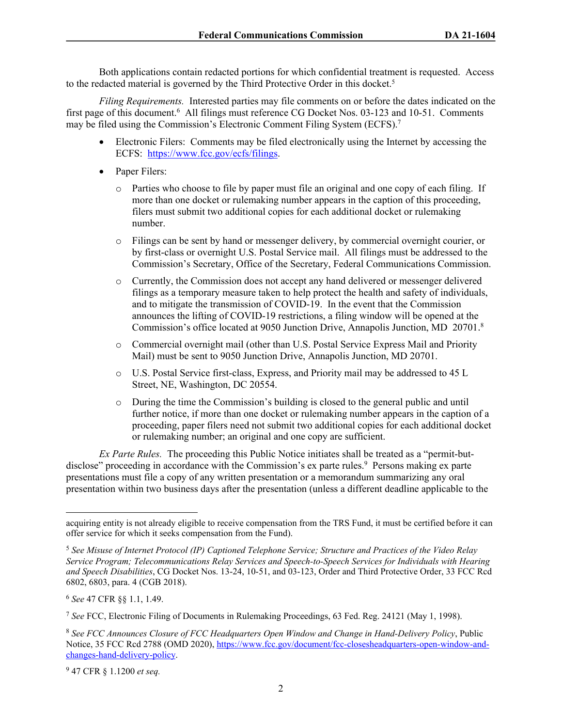Both applications contain redacted portions for which confidential treatment is requested. Access to the redacted material is governed by the Third Protective Order in this docket.<sup>5</sup>

*Filing Requirements.* Interested parties may file comments on or before the dates indicated on the first page of this document.<sup>6</sup> All filings must reference CG Docket Nos. 03-123 and 10-51. Comments may be filed using the Commission's Electronic Comment Filing System (ECFS).<sup>7</sup>

- Electronic Filers: Comments may be filed electronically using the Internet by accessing the ECFS: [https://www.fcc.gov/ecfs/filings.](https://www.fcc.gov/ecfs/filings)
- Paper Filers:
	- o Parties who choose to file by paper must file an original and one copy of each filing. If more than one docket or rulemaking number appears in the caption of this proceeding, filers must submit two additional copies for each additional docket or rulemaking number.
	- o Filings can be sent by hand or messenger delivery, by commercial overnight courier, or by first-class or overnight U.S. Postal Service mail. All filings must be addressed to the Commission's Secretary, Office of the Secretary, Federal Communications Commission.
	- o Currently, the Commission does not accept any hand delivered or messenger delivered filings as a temporary measure taken to help protect the health and safety of individuals, and to mitigate the transmission of COVID-19. In the event that the Commission announces the lifting of COVID-19 restrictions, a filing window will be opened at the Commission's office located at 9050 Junction Drive, Annapolis Junction, MD 20701. 8
	- o Commercial overnight mail (other than U.S. Postal Service Express Mail and Priority Mail) must be sent to 9050 Junction Drive, Annapolis Junction, MD 20701.
	- o U.S. Postal Service first-class, Express, and Priority mail may be addressed to 45 L Street, NE, Washington, DC 20554.
	- o During the time the Commission's building is closed to the general public and until further notice, if more than one docket or rulemaking number appears in the caption of a proceeding, paper filers need not submit two additional copies for each additional docket or rulemaking number; an original and one copy are sufficient.

*Ex Parte Rules.* The proceeding this Public Notice initiates shall be treated as a "permit-butdisclose" proceeding in accordance with the Commission's ex parte rules.<sup>9</sup> Persons making ex parte presentations must file a copy of any written presentation or a memorandum summarizing any oral presentation within two business days after the presentation (unless a different deadline applicable to the

acquiring entity is not already eligible to receive compensation from the TRS Fund, it must be certified before it can offer service for which it seeks compensation from the Fund).

<sup>5</sup> *See Misuse of Internet Protocol (IP) Captioned Telephone Service; Structure and Practices of the Video Relay Service Program; Telecommunications Relay Services and Speech-to-Speech Services for Individuals with Hearing and Speech Disabilities*, CG Docket Nos. 13-24, 10-51, and 03-123, Order and Third Protective Order, 33 FCC Rcd 6802, 6803, para. 4 (CGB 2018).

<sup>6</sup> *See* 47 CFR §§ 1.1, 1.49.

<sup>7</sup> *See* FCC, Electronic Filing of Documents in Rulemaking Proceedings, 63 Fed. Reg. 24121 (May 1, 1998).

<sup>8</sup> *See FCC Announces Closure of FCC Headquarters Open Window and Change in Hand-Delivery Policy*, Public Notice, 35 FCC Rcd 2788 (OMD 2020), [https://www.fcc.gov/document/fcc-closesheadquarters-open-window-and](https://www.fcc.gov/document/fcc-closesheadquarters-open-window-and-changes-hand-delivery-policy)[changes-hand-delivery-policy](https://www.fcc.gov/document/fcc-closesheadquarters-open-window-and-changes-hand-delivery-policy).

<sup>9</sup> 47 CFR § 1.1200 *et seq.*